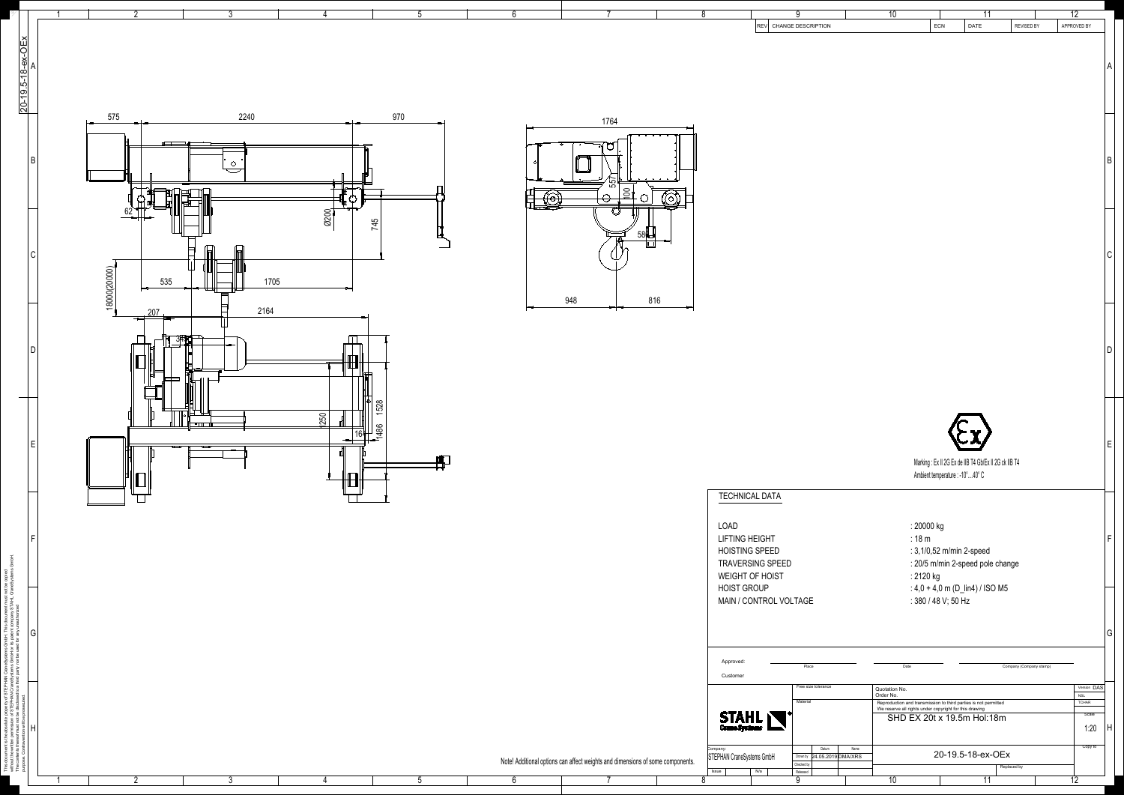1

5

2

3

4

 $\mathscr{Y}_\mathscr{L}$ 



| $6\phantom{.}6$ | $\overline{7}$                                                                 |         | $8\phantom{1}$                        | 9                                    | 10                         | 11                                                                                                                        |                         | $\overline{12}$           |
|-----------------|--------------------------------------------------------------------------------|---------|---------------------------------------|--------------------------------------|----------------------------|---------------------------------------------------------------------------------------------------------------------------|-------------------------|---------------------------|
|                 |                                                                                |         |                                       | REV CHANGE DESCRIPTION               |                            | ECN<br>DATE                                                                                                               | REVISED BY              | APPROVED BY               |
|                 |                                                                                |         |                                       |                                      |                            |                                                                                                                           |                         |                           |
|                 |                                                                                |         |                                       |                                      |                            |                                                                                                                           |                         | A                         |
|                 |                                                                                |         |                                       |                                      |                            |                                                                                                                           |                         |                           |
|                 |                                                                                |         |                                       |                                      |                            |                                                                                                                           |                         |                           |
|                 |                                                                                |         |                                       |                                      |                            |                                                                                                                           |                         |                           |
|                 | 1764                                                                           |         |                                       |                                      |                            |                                                                                                                           |                         |                           |
|                 |                                                                                |         |                                       |                                      |                            |                                                                                                                           |                         |                           |
|                 |                                                                                |         |                                       |                                      |                            |                                                                                                                           |                         |                           |
|                 |                                                                                |         |                                       |                                      |                            |                                                                                                                           |                         | $\sf B$                   |
|                 | $\frac{557}{55}$                                                               |         |                                       |                                      |                            |                                                                                                                           |                         |                           |
|                 | $\frac{100}{1}$                                                                |         |                                       |                                      |                            |                                                                                                                           |                         |                           |
|                 |                                                                                | $\circ$ |                                       |                                      |                            |                                                                                                                           |                         |                           |
|                 |                                                                                |         |                                       |                                      |                            |                                                                                                                           |                         |                           |
|                 |                                                                                | 580     |                                       |                                      |                            |                                                                                                                           |                         |                           |
|                 |                                                                                |         |                                       |                                      |                            |                                                                                                                           |                         | $\mathsf C$               |
|                 |                                                                                |         |                                       |                                      |                            |                                                                                                                           |                         |                           |
|                 |                                                                                |         |                                       |                                      |                            |                                                                                                                           |                         |                           |
|                 | 948                                                                            | 816     |                                       |                                      |                            |                                                                                                                           |                         |                           |
|                 |                                                                                |         |                                       |                                      |                            |                                                                                                                           |                         |                           |
|                 |                                                                                |         |                                       |                                      |                            |                                                                                                                           |                         |                           |
|                 |                                                                                |         |                                       |                                      |                            |                                                                                                                           |                         |                           |
|                 |                                                                                |         |                                       |                                      |                            |                                                                                                                           |                         | D                         |
|                 |                                                                                |         |                                       |                                      |                            |                                                                                                                           |                         |                           |
|                 |                                                                                |         |                                       |                                      |                            |                                                                                                                           |                         |                           |
|                 |                                                                                |         |                                       |                                      |                            |                                                                                                                           |                         |                           |
|                 |                                                                                |         |                                       |                                      |                            |                                                                                                                           |                         |                           |
|                 |                                                                                |         |                                       |                                      |                            |                                                                                                                           |                         |                           |
|                 |                                                                                |         |                                       |                                      |                            |                                                                                                                           |                         | $\mathsf E$               |
|                 |                                                                                |         |                                       |                                      |                            | Marking: Ex II 2G Ex de IIB T4 Gb/Ex II 2G ck IIB T4                                                                      |                         |                           |
|                 |                                                                                |         |                                       |                                      |                            | Ambient temperature : -10°  40° C                                                                                         |                         |                           |
|                 |                                                                                |         |                                       |                                      |                            |                                                                                                                           |                         |                           |
|                 |                                                                                |         | <b>TECHNICAL DATA</b>                 |                                      |                            |                                                                                                                           |                         |                           |
|                 |                                                                                |         |                                       |                                      |                            |                                                                                                                           |                         |                           |
|                 |                                                                                |         | LOAD<br><b>LIFTING HEIGHT</b>         |                                      |                            | : 20000 kg<br>:18 <sub>m</sub>                                                                                            |                         | $\mathsf F$               |
|                 |                                                                                |         | <b>HOISTING SPEED</b>                 |                                      |                            | : 3,1/0,52 m/min 2-speed                                                                                                  |                         |                           |
|                 |                                                                                |         | TRAVERSING SPEED                      |                                      |                            | : 20/5 m/min 2-speed pole change                                                                                          |                         |                           |
|                 |                                                                                |         | WEIGHT OF HOIST                       |                                      |                            | : 2120 kg                                                                                                                 |                         |                           |
|                 |                                                                                |         | <b>HOIST GROUP</b>                    |                                      |                            | : $4,0 + 4,0$ m (D_lin4) / ISO M5                                                                                         |                         |                           |
|                 |                                                                                |         | MAIN / CONTROL VOLTAGE                |                                      |                            | : 380 / 48 V; 50 Hz                                                                                                       |                         |                           |
|                 |                                                                                |         |                                       |                                      |                            |                                                                                                                           |                         |                           |
|                 |                                                                                |         |                                       |                                      |                            |                                                                                                                           |                         | G                         |
|                 |                                                                                |         |                                       |                                      |                            |                                                                                                                           |                         |                           |
|                 |                                                                                |         | Approved:                             | Place                                | Date                       |                                                                                                                           | Company (Company stamp) |                           |
|                 |                                                                                |         | Customer                              |                                      |                            |                                                                                                                           |                         |                           |
|                 |                                                                                |         |                                       | Free size tolerance                  | Quotation No.<br>Order No. |                                                                                                                           |                         | Version DAS<br><b>NSL</b> |
|                 |                                                                                |         |                                       | Material                             |                            | Reproduction and transmission to third parties is not permitted<br>We reserve all rights under copyright for this drawing |                         | <b>TCHAR</b><br>Scale     |
|                 |                                                                                |         | STAHL                                 |                                      |                            | SHD EX 20t x 19.5m Hol:18m                                                                                                |                         | 1:20<br>H                 |
|                 |                                                                                |         |                                       |                                      |                            |                                                                                                                           |                         |                           |
|                 |                                                                                |         | Company:<br>STEPHAN CraneSystems GmbH | Datum<br>Drown by 24.05.2019 DMA/XRS | Name                       | 20-19.5-18-ex-OEx                                                                                                         |                         | Copy to                   |
|                 | Note! Additional options can affect weights and dimensions of some components. |         | Issue<br>N/a                          | Checked by<br>Released               |                            |                                                                                                                           | Replaced by             |                           |
| $\mathsf{R}$    | $\overline{7}$                                                                 |         | $\Omega$                              | $\Omega$                             | $\overline{10}$            | $\overline{11}$                                                                                                           |                         | $\overline{12}$           |